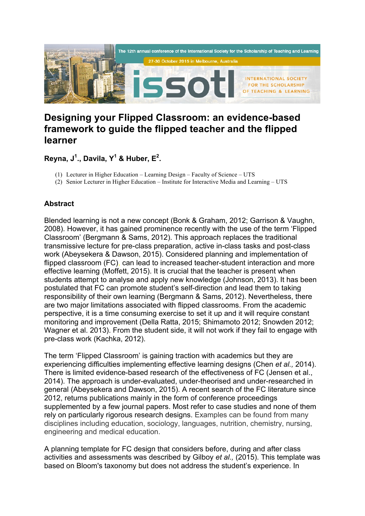

## **Designing your Flipped Classroom: an evidence-based framework to guide the flipped teacher and the flipped learner**

**Reyna, J1 ., Davila, Y<sup>1</sup> & Huber, E2 .**

- (1) Lecturer in Higher Education Learning Design Faculty of Science UTS
- (2) Senior Lecturer in Higher Education Institute for Interactive Media and Learning UTS

## **Abstract**

Blended learning is not a new concept (Bonk & Graham, 2012; Garrison & Vaughn, 2008). However, it has gained prominence recently with the use of the term 'Flipped Classroom' (Bergmann & Sams, 2012). This approach replaces the traditional transmissive lecture for pre-class preparation, active in-class tasks and post-class work (Abeysekera & Dawson, 2015). Considered planning and implementation of flipped classroom (FC), can lead to increased teacher-student interaction and more effective learning (Moffett, 2015). It is crucial that the teacher is present when students attempt to analyse and apply new knowledge (Johnson, 2013). It has been postulated that FC can promote student's self-direction and lead them to taking responsibility of their own learning (Bergmann & Sams, 2012). Nevertheless, there are two major limitations associated with flipped classrooms. From the academic perspective, it is a time consuming exercise to set it up and it will require constant monitoring and improvement (Della Ratta, 2015; Shimamoto 2012; Snowden 2012; Wagner et al. 2013). From the student side, it will not work if they fail to engage with pre-class work (Kachka, 2012).

The term 'Flipped Classroom' is gaining traction with academics but they are experiencing difficulties implementing effective learning designs (Chen *et al.,* 2014). There is limited evidence-based research of the effectiveness of FC (Jensen et al., 2014). The approach is under-evaluated, under-theorised and under-researched in general (Abeysekera and Dawson, 2015). A recent search of the FC literature since 2012, returns publications mainly in the form of conference proceedings supplemented by a few journal papers. Most refer to case studies and none of them rely on particularly rigorous research designs. Examples can be found from many disciplines including education, sociology, languages, nutrition, chemistry, nursing, engineering and medical education.

A planning template for FC design that considers before, during and after class activities and assessments was described by Gilboy *et al.,* (2015). This template was based on Bloom's taxonomy but does not address the student's experience. In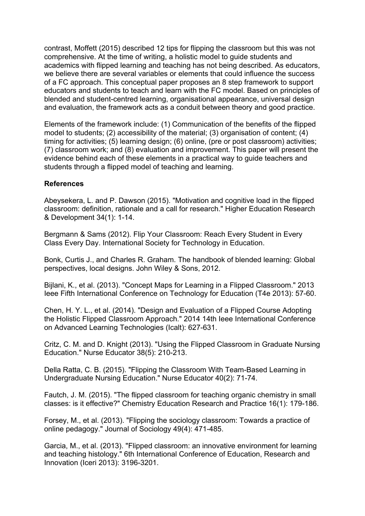contrast, Moffett (2015) described 12 tips for flipping the classroom but this was not comprehensive. At the time of writing, a holistic model to guide students and academics with flipped learning and teaching has not being described. As educators, we believe there are several variables or elements that could influence the success of a FC approach. This conceptual paper proposes an 8 step framework to support educators and students to teach and learn with the FC model. Based on principles of blended and student-centred learning, organisational appearance, universal design and evaluation, the framework acts as a conduit between theory and good practice.

Elements of the framework include: (1) Communication of the benefits of the flipped model to students; (2) accessibility of the material; (3) organisation of content; (4) timing for activities; (5) learning design; (6) online, (pre or post classroom) activities; (7) classroom work; and (8) evaluation and improvement. This paper will present the evidence behind each of these elements in a practical way to guide teachers and students through a flipped model of teaching and learning.

## **References**

Abeysekera, L. and P. Dawson (2015). "Motivation and cognitive load in the flipped classroom: definition, rationale and a call for research." Higher Education Research & Development 34(1): 1-14.

Bergmann & Sams (2012). Flip Your Classroom: Reach Every Student in Every Class Every Day. International Society for Technology in Education.

Bonk, Curtis J., and Charles R. Graham. The handbook of blended learning: Global perspectives, local designs. John Wiley & Sons, 2012.

Bijlani, K., et al. (2013). "Concept Maps for Learning in a Flipped Classroom." 2013 Ieee Fifth International Conference on Technology for Education (T4e 2013): 57-60.

Chen, H. Y. L., et al. (2014). "Design and Evaluation of a Flipped Course Adopting the Holistic Flipped Classroom Approach." 2014 14th Ieee International Conference on Advanced Learning Technologies (Icalt): 627-631.

Critz, C. M. and D. Knight (2013). "Using the Flipped Classroom in Graduate Nursing Education." Nurse Educator 38(5): 210-213.

Della Ratta, C. B. (2015). "Flipping the Classroom With Team-Based Learning in Undergraduate Nursing Education." Nurse Educator 40(2): 71-74.

Fautch, J. M. (2015). "The flipped classroom for teaching organic chemistry in small classes: is it effective?" Chemistry Education Research and Practice 16(1): 179-186.

Forsey, M., et al. (2013). "Flipping the sociology classroom: Towards a practice of online pedagogy." Journal of Sociology 49(4): 471-485.

Garcia, M., et al. (2013). "Flipped classroom: an innovative environment for learning and teaching histology." 6th International Conference of Education, Research and Innovation (Iceri 2013): 3196-3201.